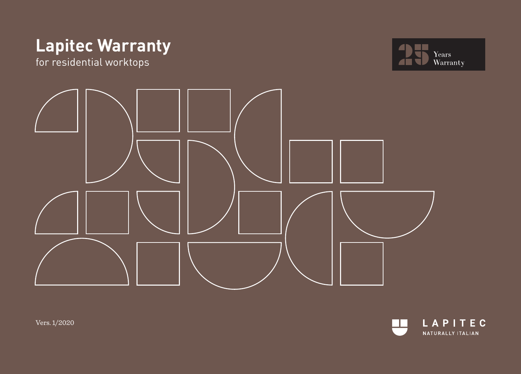# **Lapitec Warranty**

for residential worktops







Vers. 1/2020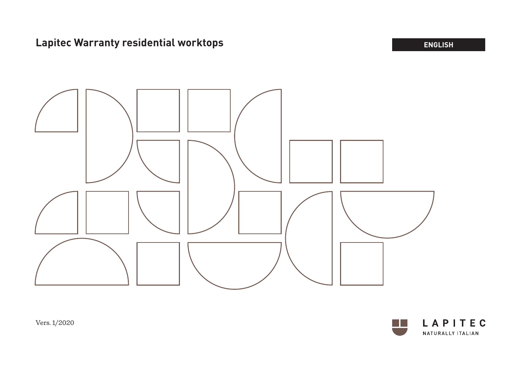# **Lapitec Warranty residential worktops ENGLISH ENGLISH**





Vers. 1/2020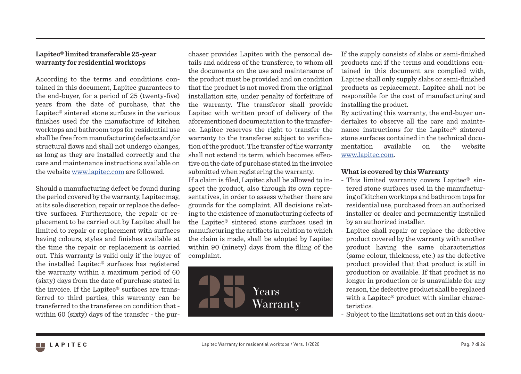## **Lapitec® limited transferable 25-year warranty for residential worktops**

According to the terms and conditions contained in this document, Lapitec guarantees to the end-buyer, for a period of 25 (twenty-five) years from the date of purchase, that the Lapitec® sintered stone surfaces in the various finishes used for the manufacture of kitchen worktops and bathroom tops for residential use shall be free from manufacturing defects and/or structural flaws and shall not undergo changes, as long as they are installed correctly and the care and maintenance instructions available on the website www.lapitec.com are followed.

Should a manufacturing defect be found during the period covered by the warranty, Lapitec may, at its sole discretion, repair or replace the defective surfaces. Furthermore, the repair or replacement to be carried out by Lapitec shall be limited to repair or replacement with surfaces having colours, styles and finishes available at the time the repair or replacement is carried out. This warranty is valid only if the buyer of the installed Lapitec® surfaces has registered the warranty within a maximum period of 60 (sixty) days from the date of purchase stated in the invoice. If the Lapitec® surfaces are transferred to third parties, this warranty can be transferred to the transferee on condition that within 60 (sixty) days of the transfer - the purchaser provides Lapitec with the personal details and address of the transferee, to whom all the documents on the use and maintenance of the product must be provided and on condition that the product is not moved from the original installation site, under penalty of forfeiture of the warranty. The transferor shall provide Lapitec with written proof of delivery of the aforementioned documentation to the transferee. Lapitec reserves the right to transfer the warranty to the transferee subject to verification of the product. The transfer of the warranty shall not extend its term, which becomes effective on the date of purchase stated in the invoice submitted when registering the warranty.

If a claim is filed, Lapitec shall be allowed to inspect the product, also through its own representatives, in order to assess whether there are grounds for the complaint. All decisions relating to the existence of manufacturing defects of the Lapitec® sintered stone surfaces used in manufacturing the artifacts in relation to which the claim is made, shall be adopted by Lapitec within 90 (ninety) days from the filing of the complaint.



If the supply consists of slabs or semi-finished products and if the terms and conditions contained in this document are complied with, Lapitec shall only supply slabs or semi-finished products as replacement. Lapitec shall not be responsible for the cost of manufacturing and installing the product.

By activating this warranty, the end-buyer undertakes to observe all the care and maintenance instructions for the Lapitec® sintered stone surfaces contained in the technical documentation available on the website www.lapitec.com.

#### **What is covered by this Warranty**

- This limited warranty covers Lapitec<sup>®</sup> sintered stone surfaces used in the manufacturing of kitchen worktops and bathroom tops for residential use, purchased from an authorized installer or dealer and permanently installed by an authorized installer.
- Lapitec shall repair or replace the defective product covered by the warranty with another product having the same characteristics (same colour, thickness, etc.) as the defective product provided that that product is still in production or available. If that product is no longer in production or is unavailable for any reason, the defective product shall be replaced with a Lapitec® product with similar characteristics.
- Subject to the limitations set out in this docu-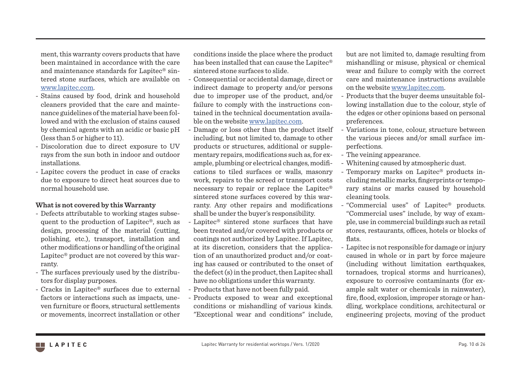ment, this warranty covers products that have been maintained in accordance with the care and maintenance standards for Lapitec® sintered stone surfaces, which are available on www.lapitec.com.

- Stains caused by food, drink and household cleaners provided that the care and maintenance guidelines of the material have been followed and with the exclusion of stains caused by chemical agents with an acidic or basic pH (less than 5 or higher to 11).
- Discoloration due to direct exposure to UV rays from the sun both in indoor and outdoor installations.
- Lapitec covers the product in case of cracks due to exposure to direct heat sources due to normal household use.

## **What is not covered by this Warranty**

- Defects attributable to working stages subsequent to the production of Lapitec®, such as design, processing of the material (cutting, polishing, etc.), transport, installation and other modifications or handling of the original Lapitec® product are not covered by this warranty.
- The surfaces previously used by the distributors for display purposes.
- Cracks in Lapitec® surfaces due to external factors or interactions such as impacts, uneven furniture or floors, structural settlements or movements, incorrect installation or other

conditions inside the place where the product has been installed that can cause the Lapitec® sintered stone surfaces to slide.

- Consequential or accidental damage, direct or indirect damage to property and/or persons due to improper use of the product, and/or failure to comply with the instructions contained in the technical documentation available on the website www.lapitec.com.
- Damage or loss other than the product itself including, but not limited to, damage to other products or structures, additional or supplementary repairs, modifications such as, for example, plumbing or electrical changes, modifications to tiled surfaces or walls, masonry work, repairs to the screed or transport costs necessary to repair or replace the Lapitec® sintered stone surfaces covered by this warranty. Any other repairs and modifications shall be under the buyer's responsibility.
- Lapitec<sup>®</sup> sintered stone surfaces that have been treated and/or covered with products or coatings not authorized by Lapitec. If Lapitec, at its discretion, considers that the application of an unauthorized product and/or coating has caused or contributed to the onset of the defect (s) in the product, then Lapitec shall have no obligations under this warranty.
- Products that have not been fully paid.
- Products exposed to wear and exceptional conditions or mishandling of various kinds. "Exceptional wear and conditions" include,

but are not limited to, damage resulting from mishandling or misuse, physical or chemical wear and failure to comply with the correct care and maintenance instructions available on the website www.lapitec.com.

- Products that the buyer deems unsuitable following installation due to the colour, style of the edges or other opinions based on personal preferences.
- Variations in tone, colour, structure between the various pieces and/or small surface imperfections.
- The veining appearance.
- Whitening caused by atmospheric dust.
- Temporary marks on Lapitec® products including metallic marks, fingerprints or temporary stains or marks caused by household cleaning tools.
- "Commercial uses" of Lapitec® products. "Commercial uses" include, by way of example, use in commercial buildings such as retail stores, restaurants, offices, hotels or blocks of flats.
- Lapitec is not responsible for damage or injury caused in whole or in part by force majeure (including without limitation earthquakes, tornadoes, tropical storms and hurricanes), exposure to corrosive contaminants (for example salt water or chemicals in rainwater), fire, flood, explosion, improper storage or handling, workplace conditions, architectural or engineering projects, moving of the product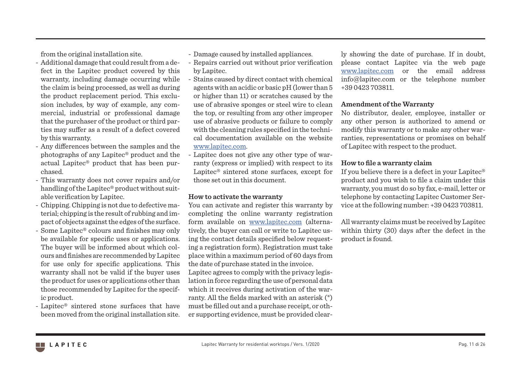from the original installation site.

- Additional damage that could result from a defect in the Lapitec product covered by this warranty, including damage occurring while the claim is being processed, as well as during the product replacement period. This exclusion includes, by way of example, any commercial, industrial or professional damage that the purchaser of the product or third parties may suffer as a result of a defect covered by this warranty.
- Any differences between the samples and the photographs of any Lapitec® product and the actual Lapitec® product that has been purchased.
- This warranty does not cover repairs and/or handling of the Lapitec® product without suitable verification by Lapitec.
- Chipping. Chipping is not due to defective material; chipping is the result of rubbing and impact of objects against the edges of the surface.
- Some Lapitec® colours and finishes may only be available for specific uses or applications. The buyer will be informed about which colours and finishes are recommended by Lapitec for use only for specific applications. This warranty shall not be valid if the buyer uses the product for uses or applications other than those recommended by Lapitec for the specific product.
- Lapitec® sintered stone surfaces that have been moved from the original installation site.
- Damage caused by installed appliances.
- Repairs carried out without prior verification by Lapitec.
- Stains caused by direct contact with chemical agents with an acidic or basic pH (lower than 5 or higher than 11) or scratches caused by the use of abrasive sponges or steel wire to clean the top, or resulting from any other improper use of abrasive products or failure to comply with the cleaning rules specified in the technical documentation available on the website www.lapitec.com.
- Lapitec does not give any other type of warranty (express or implied) with respect to its Lapitec® sintered stone surfaces, except for those set out in this document.

#### **How to activate the warranty**

You can activate and register this warranty by completing the online warranty registration form available on www.lapitec.com (alternatively, the buyer can call or write to Lapitec using the contact details specified below requesting a registration form). Registration must take place within a maximum period of 60 days from the date of purchase stated in the invoice. Lapitec agrees to comply with the privacy legis-

lation in force regarding the use of personal data which it receives during activation of the warranty. All the fields marked with an asterisk (\*) must be filled out and a purchase receipt, or other supporting evidence, must be provided clearly showing the date of purchase. If in doubt, please contact Lapitec via the web page www.lapitec.com or the email address info@lapitec.com or the telephone number +39 0423 703811.

#### **Amendment of the Warranty**

No distributor, dealer, employee, installer or any other person is authorized to amend or modify this warranty or to make any other warranties, representations or promises on behalf of Lapitec with respect to the product.

#### **How to file a warranty claim**

If you believe there is a defect in your Lapitec® product and you wish to file a claim under this warranty, you must do so by fax, e-mail, letter or telephone by contacting Lapitec Customer Service at the following number: +39 0423 703811.

All warranty claims must be received by Lapitec within thirty (30) days after the defect in the product is found.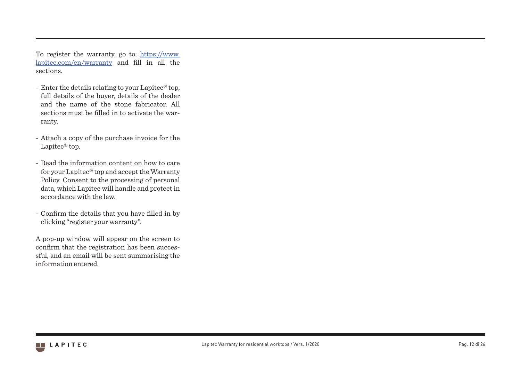To register the warranty, go to: https://www. lapitec.com/en/warranty and fill in all the sections.

- Enter the details relating to your Lapitec® top, full details of the buyer, details of the dealer and the name of the stone fabricator. All sections must be filled in to activate the war ranty.
- Attach a copy of the purchase invoice for the Lapitec<sup>®</sup> top.
- Read the information content on how to care for your Lapitec® top and accept the Warranty Policy. Consent to the processing of personal data, which Lapitec will handle and protect in accordance with the law.
- Confirm the details that you have filled in by clicking "register your warranty".

A pop-up window will appear on the screen to confirm that the registration has been succes sful, and an email will be sent summarising the information entered.